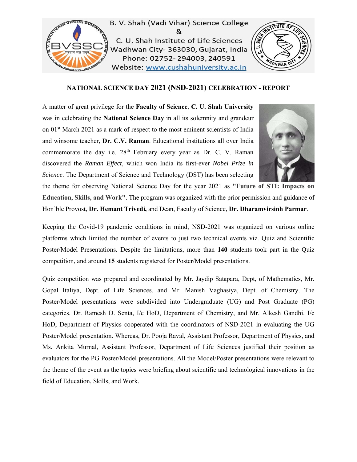

B. V. Shah (Vadi Vihar) Science College & C. U. Shah Institute of Life Sciences Wadhwan City- 363030, Gujarat, India Phone: 02752-294003, 240591 Website: www.cushahuniversity.ac.in



## **NATIONAL SCIENCE DAY 2021 (NSD-2021) CELEBRATION - REPORT**

A matter of great privilege for the **Faculty of Science**, **C. U. Shah University** was in celebrating the **National Science Day** in all its solemnity and grandeur on 01st March 2021 as a mark of respect to the most eminent scientists of India and winsome teacher, **Dr. C.V. Raman**. Educational institutions all over India commemorate the day i.e. 28<sup>th</sup> February every year as Dr. C. V. Raman discovered the *Raman Effect*, which won India its first-ever *Nobel Prize in Science*. The Department of Science and Technology (DST) has been selecting



the theme for observing National Science Day for the year 2021 as **"Future of STI: Impacts on Education, Skills, and Work"**. The program was organized with the prior permission and guidance of Hon'ble Provost, **Dr. Hemant Trivedi,** and Dean, Faculty of Science, **Dr. Dharamvirsinh Parmar**.

Keeping the Covid-19 pandemic conditions in mind, NSD-2021 was organized on various online platforms which limited the number of events to just two technical events viz. Quiz and Scientific Poster/Model Presentations. Despite the limitations, more than **140** students took part in the Quiz competition, and around **15** students registered for Poster/Model presentations.

Quiz competition was prepared and coordinated by Mr. Jaydip Satapara, Dept, of Mathematics, Mr. Gopal Italiya, Dept. of Life Sciences, and Mr. Manish Vaghasiya, Dept. of Chemistry. The Poster/Model presentations were subdivided into Undergraduate (UG) and Post Graduate (PG) categories. Dr. Ramesh D. Senta, I/c HoD, Department of Chemistry, and Mr. Alkesh Gandhi. I/c HoD, Department of Physics cooperated with the coordinators of NSD-2021 in evaluating the UG Poster/Model presentation. Whereas, Dr. Pooja Raval, Assistant Professor, Department of Physics, and Ms. Ankita Murnal, Assistant Professor, Department of Life Sciences justified their position as evaluators for the PG Poster/Model presentations. All the Model/Poster presentations were relevant to the theme of the event as the topics were briefing about scientific and technological innovations in the field of Education, Skills, and Work.